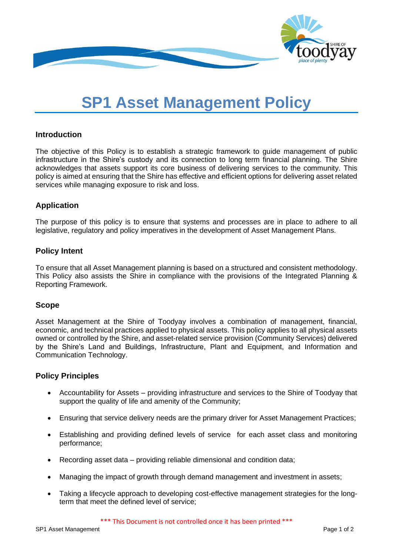

# **SP1 Asset Management Policy**

## **Introduction**

The objective of this Policy is to establish a strategic framework to guide management of public infrastructure in the Shire's custody and its connection to long term financial planning. The Shire acknowledges that assets support its core business of delivering services to the community. This policy is aimed at ensuring that the Shire has effective and efficient options for delivering asset related services while managing exposure to risk and loss.

# **Application**

The purpose of this policy is to ensure that systems and processes are in place to adhere to all legislative, regulatory and policy imperatives in the development of Asset Management Plans.

### **Policy Intent**

To ensure that all Asset Management planning is based on a structured and consistent methodology. This Policy also assists the Shire in compliance with the provisions of the Integrated Planning & Reporting Framework.

#### **Scope**

Asset Management at the Shire of Toodyay involves a combination of management, financial, economic, and technical practices applied to physical assets. This policy applies to all physical assets owned or controlled by the Shire, and asset-related service provision (Community Services) delivered by the Shire's Land and Buildings, Infrastructure, Plant and Equipment, and Information and Communication Technology.

#### **Policy Principles**

- Accountability for Assets providing infrastructure and services to the Shire of Toodyay that support the quality of life and amenity of the Community:
- Ensuring that service delivery needs are the primary driver for Asset Management Practices;
- Establishing and providing defined levels of service for each asset class and monitoring performance;
- Recording asset data providing reliable dimensional and condition data;
- Managing the impact of growth through demand management and investment in assets;
- Taking a lifecycle approach to developing cost-effective management strategies for the longterm that meet the defined level of service;

\*\*\* This Document is not controlled once it has been printed \*\*\*